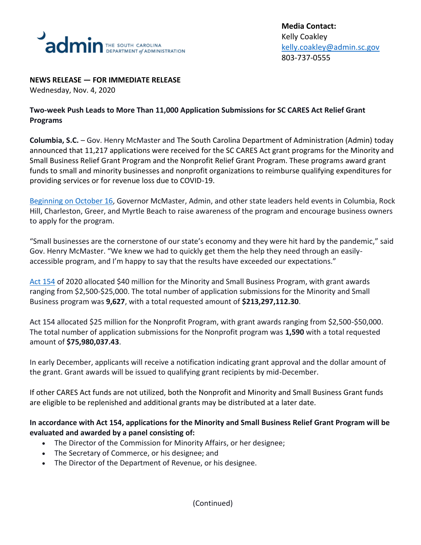

#### **NEWS RELEASE — FOR IMMEDIATE RELEASE**

Wednesday, Nov. 4, 2020

# **Two-week Push Leads to More Than 11,000 Application Submissions for SC CARES Act Relief Grant Programs**

**Columbia, S.C.** – Gov. Henry McMaster and The South Carolina Department of Administration (Admin) today announced that 11,217 applications were received for the SC CARES Act grant programs for the Minority and Small Business Relief Grant Program and the Nonprofit Relief Grant Program. These programs award grant funds to small and minority businesses and nonprofit organizations to reimburse qualifying expenditures for providing services or for revenue loss due to COVID-19.

[Beginning on October 16,](https://governor.sc.gov/news/2020-10/gov-henry-mcmaster-announces-minority-small-business-and-nonprofit-relief-grant) Governor McMaster, Admin, and other state leaders held events in Columbia, Rock Hill, Charleston, Greer, and Myrtle Beach to raise awareness of the program and encourage business owners to apply for the program.

"Small businesses are the cornerstone of our state's economy and they were hit hard by the pandemic," said Gov. Henry McMaster. "We knew we had to quickly get them the help they need through an easilyaccessible program, and I'm happy to say that the results have exceeded our expectations."

[Act 154](https://www.scstatehouse.gov/sess123_2019-2020/prever/3210_20200923.htm) of 2020 allocated \$40 million for the Minority and Small Business Program, with grant awards ranging from \$2,500-\$25,000. The total number of application submissions for the Minority and Small Business program was **9,627**, with a total requested amount of **\$213,297,112.30**.

Act 154 allocated \$25 million for the Nonprofit Program, with grant awards ranging from \$2,500-\$50,000. The total number of application submissions for the Nonprofit program was **1,590** with a total requested amount of **\$75,980,037.43**.

In early December, applicants will receive a notification indicating grant approval and the dollar amount of the grant. Grant awards will be issued to qualifying grant recipients by mid-December.

If other CARES Act funds are not utilized, both the Nonprofit and Minority and Small Business Grant funds are eligible to be replenished and additional grants may be distributed at a later date.

## **In accordance with Act 154, applications for the Minority and Small Business Relief Grant Program will be evaluated and awarded by a panel consisting of:**

- The Director of the Commission for Minority Affairs, or her designee;
- The Secretary of Commerce, or his designee; and
- The Director of the Department of Revenue, or his designee.

(Continued)